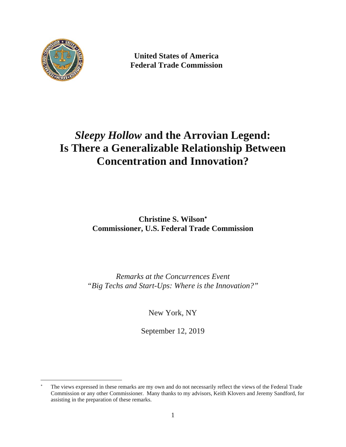

-

**United States of America Federal Trade Commission** 

# *Sleepy Hollow* **and the Arrovian Legend: Is There a Generalizable Relationship Between Concentration and Innovation?**

**Christine S. Wilson Commissioner, U.S. Federal Trade Commission** 

*Remarks at the Concurrences Event "Big Techs and Start-Ups: Where is the Innovation?"* 

New York, NY

September 12, 2019

 Commission or any other Commissioner. Many thanks to my advisors, Keith Klovers and Jeremy Sandford, for The views expressed in these remarks are my own and do not necessarily reflect the views of the Federal Trade assisting in the preparation of these remarks.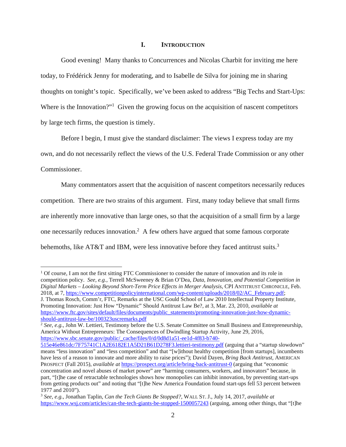## **I. INTRODUCTION**

Good evening! Many thanks to Concurrences and Nicolas Charbit for inviting me here today, to Frédérick Jenny for moderating, and to Isabelle de Silva for joining me in sharing thoughts on tonight's topic. Specifically, we've been asked to address "Big Techs and Start-Ups: Where is the Innovation?"<sup>1</sup> Given the growing focus on the acquisition of nascent competitors by large tech firms, the question is timely.

Before I begin, I must give the standard disclaimer: The views I express today are my own, and do not necessarily reflect the views of the U.S. Federal Trade Commission or any other Commissioner.

Many commentators assert that the acquisition of nascent competitors necessarily reduces competition. There are two strains of this argument. First, many today believe that small firms are inherently more innovative than large ones, so that the acquisition of a small firm by a large one necessarily reduces innovation.<sup>2</sup> A few others have argued that some famous corporate behemoths, like AT&T and IBM, were less innovative before they faced antitrust suits.<sup>3</sup>

<sup>&</sup>lt;sup>1</sup> Of course, I am not the first sitting FTC Commissioner to consider the nature of innovation and its role in competition policy. *See, e.g.*, Terrell McSweeney & Brian O'Dea, *Data, Innovation, and Potential Competition in Digital Markets – Looking Beyond Short-Term Price Effects in Merger Analysis*, CPI ANTITRUST CHRONICLE, Feb. 2018, at 7, https://www.competitionpolicyinternational.com/wp-content/uploads/2018/02/AC\_February.pdf; J. Thomas Rosch, Comm'r, FTC, Remarks at the USC Gould School of Law 2010 Intellectual Property Institute, Promoting Innovation: Just How "Dynamic" Should Antitrust Law Be?, at 3, Mar. 23, 2010, *available at*  https://www.ftc.gov/sites/default/files/documents/public\_statements/promoting-innovation-just-how-dynamic-

should-antitrust-law-be/100323uscremarks.pdf

<sup>2</sup>*See, e.g.*, John W. Lettieri, Testimony before the U.S. Senate Committee on Small Business and Entrepreneurship, America Without Entrepreneurs: The Consequences of Dwindling Startup Activity, June 29, 2016, https://www.sbc.senate.gov/public/\_cache/files/0/d/0d8d1a51-ee1d-4f83-b740-

 have less of a reason to innovate and more ability to raise prices"); David Dayen, *Bring Back Antitrust*, AMERICAN concentration and novel abuses of market power" are "harming consumers, workers, and innovators" because, in part, "[t]he case of retractable technologies shows how monopolies can inhibit innovation, by preventing start-ups 515e46e861dc/7F75741C1A2E6182E1A5D21B61D278F3.lettieri-testimony.pdf (arguing that a "startup slowdown" means "less innovation" and "less competition" and that "[w]ithout healthy competition [from startups], incumbents PROSPECT (Fall 2015), *available at https://prospect.org/article/bring-back-antitrust-0* (arguing that "economic from getting products out" and noting that "[t]he New America Foundation found start-ups fell 53 percent between 1977 and 2010").

<sup>3</sup>*See, e.g.*, Jonathan Taplin, *Can the Tech Giants Be Stopped?*, WALL ST. J., July 14, 2017, *available at*  https://www.wsj.com/articles/can-the-tech-giants-be-stopped-1500057243 (arguing, among other things, that "[t]he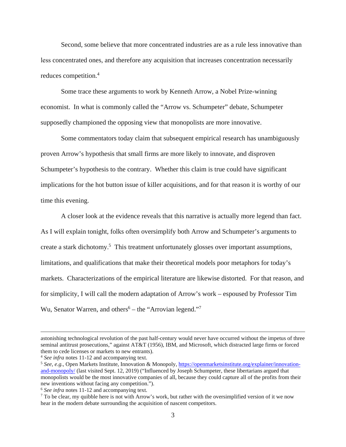reduces competition.<sup>4</sup> Second, some believe that more concentrated industries are as a rule less innovative than less concentrated ones, and therefore any acquisition that increases concentration necessarily

Some trace these arguments to work by Kenneth Arrow, a Nobel Prize-winning economist. In what is commonly called the "Arrow vs. Schumpeter" debate, Schumpeter supposedly championed the opposing view that monopolists are more innovative.

Some commentators today claim that subsequent empirical research has unambiguously proven Arrow's hypothesis that small firms are more likely to innovate, and disproven Schumpeter's hypothesis to the contrary. Whether this claim is true could have significant implications for the hot button issue of killer acquisitions, and for that reason it is worthy of our time this evening.

A closer look at the evidence reveals that this narrative is actually more legend than fact. As I will explain tonight, folks often oversimplify both Arrow and Schumpeter's arguments to create a stark dichotomy.<sup>5</sup> This treatment unfortunately glosses over important assumptions, limitations, and qualifications that make their theoretical models poor metaphors for today's markets. Characterizations of the empirical literature are likewise distorted. For that reason, and for simplicity, I will call the modern adaptation of Arrow's work – espoused by Professor Tim Wu, Senator Warren, and others<sup>6</sup> – the "Arrovian legend."<sup>7</sup>

astonishing technological revolution of the past half-century would never have occurred without the impetus of three seminal antitrust prosecutions," against AT&T (1956), IBM, and Microsoft, which distracted large firms or forced them to cede licenses or markets to new entrants).

<sup>&</sup>lt;sup>4</sup> See infra notes 11-12 and accompanying text.<br><sup>5</sup> See, e.g., Open Markets Institute, Innovation & Monopoly, https://openmarketsinstitute.org/explainer/innovationand-monopoly/ (last visited Sept. 12, 2019) ("Influenced by Joseph Schumpeter, these libertarians argued that monopolists would be the most innovative companies of all, because they could capture all of the profits from their new inventions without facing any competition.").

<sup>&</sup>lt;sup>6</sup> See infra notes 11-12 and accompanying text.

 hear in the modern debate surrounding the acquisition of nascent competitors. <sup>7</sup> To be clear, my quibble here is not with Arrow's work, but rather with the oversimplified version of it we now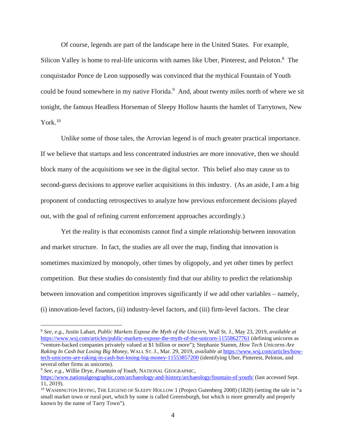Of course, legends are part of the landscape here in the United States. For example, Silicon Valley is home to real-life unicorns with names like Uber, Pinterest, and Peloton.<sup>8</sup> The conquistador Ponce de Leon supposedly was convinced that the mythical Fountain of Youth could be found somewhere in my native Florida.<sup>9</sup> And, about twenty miles north of where we sit tonight, the famous Headless Horseman of Sleepy Hollow haunts the hamlet of Tarrytown, New York. $10$ 

Unlike some of those tales, the Arrovian legend is of much greater practical importance. If we believe that startups and less concentrated industries are more innovative, then we should block many of the acquisitions we see in the digital sector. This belief also may cause us to second-guess decisions to approve earlier acquisitions in this industry. (As an aside, I am a big proponent of conducting retrospectives to analyze how previous enforcement decisions played out, with the goal of refining current enforcement approaches accordingly.)

Yet the reality is that economists cannot find a simple relationship between innovation and market structure. In fact, the studies are all over the map, finding that innovation is sometimes maximized by monopoly, other times by oligopoly, and yet other times by perfect competition. But these studies do consistently find that our ability to predict the relationship between innovation and competition improves significantly if we add other variables – namely, (i) innovation-level factors, (ii) industry-level factors, and (iii) firm-level factors. The clear

 "venture-backed companies privately valued at \$1 billion or more"); Stephanie Stamm, *How Tech Unicorns Are*  <sup>8</sup>*See, e.g.*, Justin Lahart, *Public Markets Expose the Myth of the Unicorn*, Wall St. J., May 23, 2019, *available at*  https://www.wsj.com/articles/public-markets-expose-the-myth-of-the-unicorn-11558627761 (defining unicorns as *Raking In Cash but Losing Big Money*, WALL ST. J., Mar. 29, 2019, *available at* https://www.wsj.com/articles/howtech-unicorns-are-raking-in-cash-but-losing-big-money-11553857200 (identifying Uber, Pinterest, Peloton, and several other firms as unicorns).

<sup>9</sup>*See, e.g.,* Willie Drye, *Fountain of Youth*, NATIONAL GEOGRAPHIC, https://www.nationalgeographic.com/archaeology-and-history/archaeology/fountain-of-youth/ (last accessed Sept. 11, 2019).

 small market town or rural port, which by some is called Greensburgh, but which is more generally and properly known by the name of Tarry Town"). <sup>10</sup> WASHINGTON IRVING, THE LEGEND OF SLEEPY HOLLOW 1 (Project Gutenberg 2008) (1820) (setting the tale in "a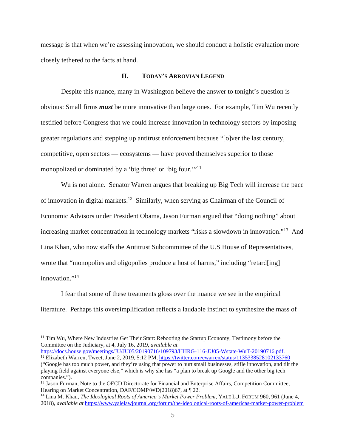message is that when we're assessing innovation, we should conduct a holistic evaluation more closely tethered to the facts at hand.

#### **II. TODAY'S ARROVIAN LEGEND**

monopolized or dominated by a 'big three' or 'big four.'"<sup>11</sup> Despite this nuance, many in Washington believe the answer to tonight's question is obvious: Small firms *must* be more innovative than large ones. For example, Tim Wu recently testified before Congress that we could increase innovation in technology sectors by imposing greater regulations and stepping up antitrust enforcement because "[o]ver the last century, competitive, open sectors — ecosystems — have proved themselves superior to those

 innovation."14 Wu is not alone. Senator Warren argues that breaking up Big Tech will increase the pace of innovation in digital markets.12 Similarly, when serving as Chairman of the Council of Economic Advisors under President Obama, Jason Furman argued that "doing nothing" about increasing market concentration in technology markets "risks a slowdown in innovation."<sup>13</sup> And Lina Khan, who now staffs the Antitrust Subcommittee of the U.S House of Representatives, wrote that "monopolies and oligopolies produce a host of harms," including "retard[ing]

I fear that some of these treatments gloss over the nuance we see in the empirical literature. Perhaps this oversimplification reflects a laudable instinct to synthesize the mass of

-

<sup>&</sup>lt;sup>11</sup> Tim Wu, Where New Industries Get Their Start: Rebooting the Startup Economy, Testimony before the Committee on the Judiciary, at 4, July 16, 2019, *available at* 

<sup>&</sup>lt;sup>12</sup> Elizabeth Warren, Tweet, June 2, 2019, 5:12 PM, https://twitter.com/ewarren/status/1135338528102133760

<sup>(&</sup>quot;Google has too much power, and they're using that power to hurt small businesses, stifle innovation, and tilt the playing field against everyone else," which is why she has "a plan to break up Google and the other big tech companies.").

 Hearing on Market Concentration, DAF/COMP/WD(2018)67, at ¶ 22. <sup>13</sup> Jason Furman, Note to the OECD Directorate for Financial and Enterprise Affairs, Competition Committee,

<sup>14</sup> Lina M. Khan, *The Ideological Roots of America's Market Power Problem*, YALE L.J. FORUM 960, 961 (June 4, 2018), *available at* https://www.yalelawjournal.org/forum/the-ideological-roots-of-americas-market-power-problem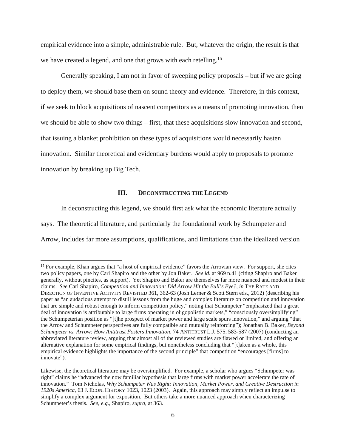empirical evidence into a simple, administrable rule. But, whatever the origin, the result is that we have created a legend, and one that grows with each retelling.<sup>15</sup>

Generally speaking, I am not in favor of sweeping policy proposals – but if we are going to deploy them, we should base them on sound theory and evidence. Therefore, in this context, if we seek to block acquisitions of nascent competitors as a means of promoting innovation, then we should be able to show two things – first, that these acquisitions slow innovation and second, that issuing a blanket prohibition on these types of acquisitions would necessarily hasten innovation. Similar theoretical and evidentiary burdens would apply to proposals to promote innovation by breaking up Big Tech.

# **III. DECONSTRUCTING THE LEGEND**

In deconstructing this legend, we should first ask what the economic literature actually says. The theoretical literature, and particularly the foundational work by Schumpeter and Arrow, includes far more assumptions, qualifications, and limitations than the idealized version

 two policy papers, one by Carl Shapiro and the other by Jon Baker. *See id.* at 969 n.41 (citing Shapiro and Baker generally, without pincites, as support). Yet Shapiro and Baker are themselves far more nuanced and modest in their DIRECTION OF INVENTIVE ACTIVITY REVISITED 361, 362-63 (Josh Lerner & Scott Stern eds., 2012) (describing his abbreviated literature review, arguing that almost all of the reviewed studies are flawed or limited, and offering an <sup>15</sup> For example, Khan argues that "a host of empirical evidence" favors the Arrovian view. For support, she cites claims. *See* Carl Shapiro, *Competition and Innovation: Did Arrow Hit the Bull's Eye?*, *in* THE RATE AND paper as "an audacious attempt to distill lessons from the huge and complex literature on competition and innovation that are simple and robust enough to inform competition policy," noting that Schumpeter "emphasized that a great deal of innovation is attributable to large firms operating in oligopolistic markets," "consciously oversimplifying" the Schumpeterian position as "[t]he prospect of market power and large scale spurs innovation," and arguing "that the Arrow and Schumpeter perspectives are fully compatible and mutually reinforcing"); Jonathan B. Baker, *Beyond Schumpeter vs. Arrow: How Antitrust Fosters Innovation*, 74 ANTITRUST L.J. 575, 583-587 (2007) (conducting an alternative explanation for some empirical findings, but nonetheless concluding that "[t]aken as a whole, this empirical evidence highlights the importance of the second principle" that competition "encourages [firms] to innovate").

 Likewise, the theoretical literature may be oversimplified. For example, a scholar who argues "Schumpeter was *1920s America*, 63 J. ECON. HISTORY 1023, 1023 (2003). Again, this approach may simply reflect an impulse to right" claims he "advanced the now familiar hypothesis that large firms with market power accelerate the rate of innovation." Tom Nicholas, *Why Schumpeter Was Right: Innovation, Market Power, and Creative Destruction in*  simplify a complex argument for exposition. But others take a more nuanced approach when characterizing Schumpeter's thesis. *See, e.g.*, Shapiro, *supra*, at 363.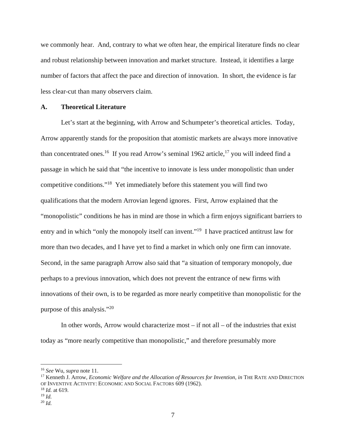less clear-cut than many observers claim. we commonly hear. And, contrary to what we often hear, the empirical literature finds no clear and robust relationship between innovation and market structure. Instead, it identifies a large number of factors that affect the pace and direction of innovation. In short, the evidence is far

#### **A. Theoretical Literature**

purpose of this analysis."<sup>20</sup> Let's start at the beginning, with Arrow and Schumpeter's theoretical articles. Today, Arrow apparently stands for the proposition that atomistic markets are always more innovative than concentrated ones.<sup>16</sup> If you read Arrow's seminal 1962 article,<sup>17</sup> you will indeed find a passage in which he said that "the incentive to innovate is less under monopolistic than under competitive conditions."18 Yet immediately before this statement you will find two qualifications that the modern Arrovian legend ignores. First, Arrow explained that the "monopolistic" conditions he has in mind are those in which a firm enjoys significant barriers to entry and in which "only the monopoly itself can invent."<sup>19</sup> I have practiced antitrust law for more than two decades, and I have yet to find a market in which only one firm can innovate. Second, in the same paragraph Arrow also said that "a situation of temporary monopoly, due perhaps to a previous innovation, which does not prevent the entrance of new firms with innovations of their own, is to be regarded as more nearly competitive than monopolistic for the

In other words, Arrow would characterize most – if not all – of the industries that exist today as "more nearly competitive than monopolistic," and therefore presumably more

<sup>&</sup>lt;sup>16</sup> See Wu, *supra* note 11.<br><sup>17</sup> Kenneth J. Arrow, *Economic Welfare and the Allocation of Resources for Invention, <i>in* THE RATE AND DIRECTION OF INVENTIVE ACTIVITY: ECONOMIC AND SOCIAL FACTORS 609 (1962). 18 *Id.* at 619.

 19 *Id.* 

 <sup>20</sup>*Id.*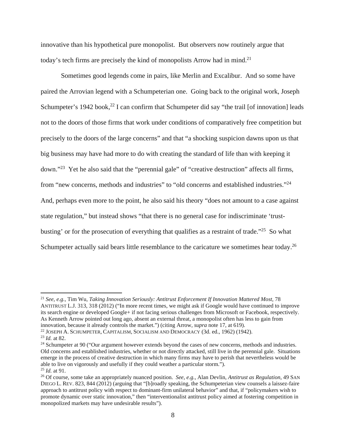innovative than his hypothetical pure monopolist. But observers now routinely argue that today's tech firms are precisely the kind of monopolists Arrow had in mind.<sup>21</sup>

from "new concerns, methods and industries" to "old concerns and established industries."<sup>24</sup> Sometimes good legends come in pairs, like Merlin and Excalibur. And so some have paired the Arrovian legend with a Schumpeterian one. Going back to the original work, Joseph Schumpeter's 1942 book, $^{22}$  I can confirm that Schumpeter did say "the trail [of innovation] leads not to the doors of those firms that work under conditions of comparatively free competition but precisely to the doors of the large concerns" and that "a shocking suspicion dawns upon us that big business may have had more to do with creating the standard of life than with keeping it down."23 Yet he also said that the "perennial gale" of "creative destruction" affects all firms, And, perhaps even more to the point, he also said his theory "does not amount to a case against state regulation," but instead shows "that there is no general case for indiscriminate 'trustbusting' or for the prosecution of everything that qualifies as a restraint of trade."<sup>25</sup> So what Schumpeter actually said bears little resemblance to the caricature we sometimes hear today.<sup>26</sup>

-

 ANTITRUST L.J. 313, 318 (2012) ("In more recent times, we might ask if Google would have continued to improve its search engine or developed Google+ if not facing serious challenges from Microsoft or Facebook, respectively. As Kenneth Arrow pointed out long ago, absent an external threat, a monopolist often has less to gain from As Kenneth Arrow pointed out long ago, absent an external threat, a monopolist often has less to gain from <sup>21</sup>*See, e.g.*, Tim Wu, *Taking Innovation Seriously: Antitrust Enforcement If Innovation Mattered Most*, 78 innovation, because it already controls the market.") (citing Arrow, *supra* note 17, at 619).<br><sup>22</sup> JOSEPH A. SCHUMPETER, CAPITALISM, SOCIALISM AND DEMOCRACY (3d. ed., 1962) (1942).<br><sup>23</sup> *Id.* at 82.<br><sup>24</sup> Schumpeter at 90

<sup>&</sup>lt;sup>22</sup> JOSEPH A. SCHUMPETER, CAPITALISM, SOCIALISM AND DEMOCRACY (3d. ed., 1962) (1942).

Old concerns and established industries, whether or not directly attacked, still live in the perennial gale. Situations emerge in the process of creative destruction in which many firms may have to perish that nevertheless would be able to live on vigorously and usefully if they could weather a particular storm.").  $^{25}$  *Id.* at 91.

 <sup>25</sup>*Id.* at 91. 26 Of course, some take an appropriately nuanced position. *See, e.g.*, Alan Devlin, *Antitrust as Regulation*, 49 SAN DIEGO L. REV. 823, 844 (2012) (arguing that "[b]roadly speaking, the Schumpeterian view counsels a laissez-faire approach to antitrust policy with respect to dominant-firm unilateral behavior" and that, if "policymakers wish to promote dynamic over static innovation," then "interventionalist antitrust policy aimed at fostering competition in monopolized markets may have undesirable results").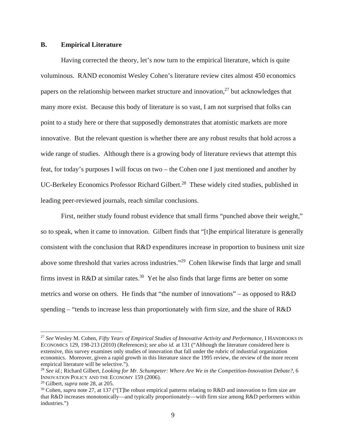#### **B. Empirical Literature**

Having corrected the theory, let's now turn to the empirical literature, which is quite voluminous. RAND economist Wesley Cohen's literature review cites almost 450 economics papers on the relationship between market structure and innovation, $^{27}$  but acknowledges that many more exist. Because this body of literature is so vast, I am not surprised that folks can point to a study here or there that supposedly demonstrates that atomistic markets are more innovative. But the relevant question is whether there are any robust results that hold across a wide range of studies. Although there is a growing body of literature reviews that attempt this feat, for today's purposes I will focus on two – the Cohen one I just mentioned and another by UC-Berkeley Economics Professor Richard Gilbert.<sup>28</sup> These widely cited studies, published in leading peer-reviewed journals, reach similar conclusions.

First, neither study found robust evidence that small firms "punched above their weight," so to speak, when it came to innovation. Gilbert finds that "[t]he empirical literature is generally consistent with the conclusion that R&D expenditures increase in proportion to business unit size above some threshold that varies across industries."29 Cohen likewise finds that large and small firms invest in R&D at similar rates.<sup>30</sup> Yet he also finds that large firms are better on some metrics and worse on others. He finds that "the number of innovations" – as opposed to R&D spending – "tends to increase less than proportionately with firm size, and the share of R&D

-

 ECONOMICS 129, 198-213 (2010) (References); *see also id.* at 131 ("Although the literature considered here is economics. Moreover, given a rapid growth in this literature since the 1995 review, the review of the more recent <sup>27</sup>*See* Wesley M. Cohen, *Fifty Years of Empirical Studies of Innovative Activity and Performance*, I HANDBOOKS IN extensive, this survey examines only studies of innovation that fall under the rubric of industrial organization empirical literature will be selective.").

<sup>28</sup>*See id.*; Richard Gilbert, *Looking for Mr. Schumpeter: Where Are We in the Competition-Innovation Debate?*, 6 INNOVATION POLICY AND THE ECONOMY 159 (2006).

<sup>&</sup>lt;sup>29</sup> Gilbert, *supra* note 28, at 205.<br><sup>30</sup> Cohen, *supra* note 27, at 137 ("[T]he robust empirical patterns relating to R&D and innovation to firm size are that R&D increases monotonically—and typically proportionately—with firm size among R&D performers within industries.")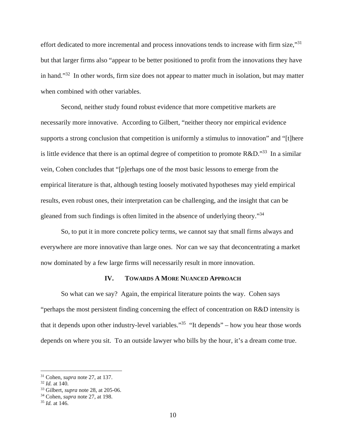effort dedicated to more incremental and process innovations tends to increase with firm size,"<sup>31</sup> but that larger firms also "appear to be better positioned to profit from the innovations they have in hand."<sup>32</sup> In other words, firm size does not appear to matter much in isolation, but may matter when combined with other variables.

gleaned from such findings is often limited in the absence of underlying theory."<sup>34</sup> Second, neither study found robust evidence that more competitive markets are necessarily more innovative. According to Gilbert, "neither theory nor empirical evidence supports a strong conclusion that competition is uniformly a stimulus to innovation" and "[t]here is little evidence that there is an optimal degree of competition to promote  $R&D$ ."<sup>33</sup> In a similar vein, Cohen concludes that "[p]erhaps one of the most basic lessons to emerge from the empirical literature is that, although testing loosely motivated hypotheses may yield empirical results, even robust ones, their interpretation can be challenging, and the insight that can be

So, to put it in more concrete policy terms, we cannot say that small firms always and everywhere are more innovative than large ones. Nor can we say that deconcentrating a market now dominated by a few large firms will necessarily result in more innovation.

#### **IV. TOWARDS A MORE NUANCED APPROACH**

So what can we say? Again, the empirical literature points the way. Cohen says "perhaps the most persistent finding concerning the effect of concentration on R&D intensity is that it depends upon other industry-level variables."<sup>35</sup> "It depends" – how you hear those words depends on where you sit. To an outside lawyer who bills by the hour, it's a dream come true.

<sup>31</sup> Cohen, *supra* note 27, at 137. 32 *Id.* at 140. 33 Gilbert, *supra* note 28, at 205-06. 34 Cohen, *supra* note 27, at 198. 35 *Id.* at 146.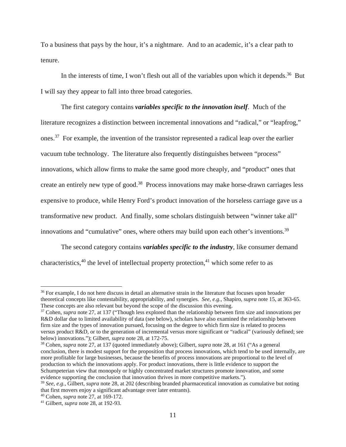To a business that pays by the hour, it's a nightmare. And to an academic, it's a clear path to tenure.

In the interests of time, I won't flesh out all of the variables upon which it depends.<sup>36</sup> But I will say they appear to fall into three broad categories.

The first category contains *variables specific to the innovation itself*. Much of the literature recognizes a distinction between incremental innovations and "radical," or "leapfrog," ones.37 For example, the invention of the transistor represented a radical leap over the earlier vacuum tube technology. The literature also frequently distinguishes between "process" innovations, which allow firms to make the same good more cheaply, and "product" ones that create an entirely new type of good.<sup>38</sup> Process innovations may make horse-drawn carriages less expensive to produce, while Henry Ford's product innovation of the horseless carriage gave us a transformative new product. And finally, some scholars distinguish between "winner take all" innovations and "cumulative" ones, where others may build upon each other's inventions.<sup>39</sup>

The second category contains *variables specific to the industry*, like consumer demand characteristics,  $40$  the level of intellectual property protection,  $41$  which some refer to as

 theoretical concepts like contestability, appropriability, and synergies. *See, e.g.*, Shapiro, *supra* note 15, at 363-65. <sup>36</sup> For example, I do not here discuss in detail an alternative strain in the literature that focuses upon broader These concepts are also relevant but beyond the scope of the discussion this evening. 37 Cohen, *supra* note 27, at 137 ("Though less explored than the relationship between firm size and innovations per

 versus product R&D, or to the generation of incremental versus more significant or "radical" (variously defined; see below) innovations."); Gilbert, *supra* note 28, at 172-75. R&D dollar due to limited availability of data (see below), scholars have also examined the relationship between firm size and the types of innovation pursued, focusing on the degree to which firm size is related to process

 conclusion, there is modest support for the proposition that process innovations, which tend to be used internally, are <sup>38</sup> Cohen, *supra* note 27, at 137 (quoted immediately above); Gilbert, *supra* note 28, at 161 ("As a general more profitable for large businesses, because the benefits of process innovations are proportional to the level of production to which the innovations apply. For product innovations, there is little evidence to support the Schumpeterian view that monopoly or highly concentrated market structures promote innovation, and some evidence supporting the conclusion that innovation thrives in more competitive markets.").

<sup>39</sup>*See, e.g.*, Gilbert, *supra* note 28, at 202 (describing branded pharmaceutical innovation as cumulative but noting that first movers enjoy a significant advantage over later entrants).

<sup>40</sup> Cohen, *supra* note 27, at 169-172. 41 Gilbert, *supra* note 28, at 192-93.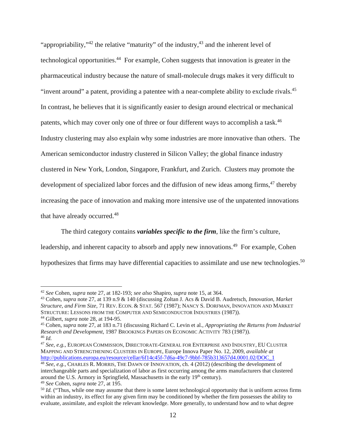"invent around" a patent, providing a patentee with a near-complete ability to exclude rivals.<sup>45</sup> patents, which may cover only one of three or four different ways to accomplish a task.<sup>46</sup> "appropriability,"<sup>42</sup> the relative "maturity" of the industry,  $43$  and the inherent level of technological opportunities.<sup>44</sup> For example, Cohen suggests that innovation is greater in the pharmaceutical industry because the nature of small-molecule drugs makes it very difficult to In contrast, he believes that it is significantly easier to design around electrical or mechanical Industry clustering may also explain why some industries are more innovative than others. The American semiconductor industry clustered in Silicon Valley; the global finance industry clustered in New York, London, Singapore, Frankfurt, and Zurich. Clusters may promote the development of specialized labor forces and the diffusion of new ideas among firms, $47$  thereby increasing the pace of innovation and making more intensive use of the unpatented innovations that have already occurred.<sup>48</sup>

The third category contains *variables specific to the firm*, like the firm's culture, leadership, and inherent capacity to absorb and apply new innovations.<sup>49</sup> For example, Cohen hypothesizes that firms may have differential capacities to assimilate and use new technologies.<sup>50</sup>

<sup>&</sup>lt;sup>42</sup> See Cohen, supra note 27, at 182-193; see also Shapiro, supra note 15, at 364.<br><sup>43</sup> Cohen, supra note 27, at 139 n.9 & 140 (discussing Zoltan J. Acs & David B. Audretsch, *Innovation, Market Structure, and Firm Size*, 71 REV. ECON. & STAT. 567 (1987); NANCY S. DORFMAN, INNOVATION AND MARKET STRUCTURE: LESSONS FROM THE COMPUTER AND SEMICONDUCTOR INDUSTRIES (1987)).<br><sup>44</sup> Gilbert, *supra* note 28, at 194-95.<br><sup>45</sup> Cohen, *supra* note 27, at 183 n.71 (discussing Richard C. Levin et al., *Appropriating the Returns* 

 $46$  Id. *Research and Development*, 1987 BROOKINGS PAPERS ON ECONOMIC ACTIVITY 783 (1987)).

 <sup>47</sup>*See, e.g.*, EUROPEAN COMMISSION, DIRECTORATE-GENERAL FOR ENTERPRISE AND INDUSTRY, EU CLUSTER MAPPING AND STRENGTHENING CLUSTERS IN EUROPE, Europe Innova Paper No. 12, 2009, *available at* 

 http://publications.europa.eu/resource/cellar/6f14c45f-7d6a-49c7-9bbf-785b313657d4.0001.02/DOC\_1 48 *See, e.g.*, CHARLES R. MORRIS, THE DAWN OF INNOVATION, ch. 4 (2012) (describing the development of interchangeable parts and specialization of labor as first occurring among the arms manufacturers that clustered around the U.S. Armory in Springfield, Massachusetts in the early 19<sup>th</sup> century).

 within an industry, its effect for any given firm may be conditioned by whether the firm possesses the ability to evaluate, assimilate, and exploit the relevant knowledge. More generally, to understand how and to what degree <sup>49</sup> See Cohen, *supra* note 27, at 195.<br><sup>50</sup> *Id.* ("Thus, while one may assume that there is some latent technological opportunity that is uniform across firms